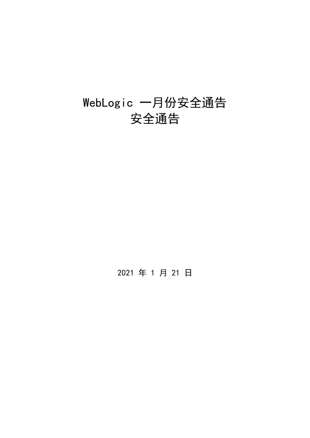# WebLogic 一月份安全通告 安全通告

2021 年 1 月 21 日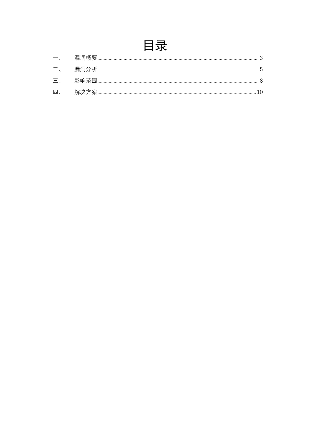## 目录

| $\Box$ . | 漏洞分析 | $\mathsf{h}$ |
|----------|------|--------------|
| 三、       | 影响范围 |              |
| 四、       | 解决万案 |              |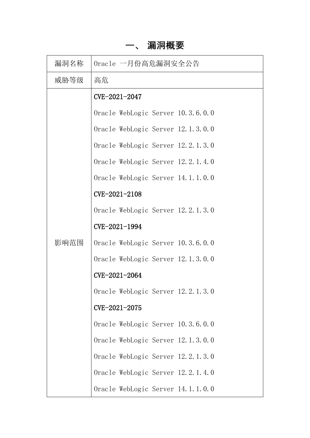## **一、 漏洞概要**

<span id="page-2-0"></span>

| 漏洞名称 | Oracle 一月份高危漏洞安全公告                |  |  |  |  |
|------|-----------------------------------|--|--|--|--|
| 威胁等级 | 高危                                |  |  |  |  |
|      | CVE-2021-2047                     |  |  |  |  |
|      | Oracle WebLogic Server 10.3.6.0.0 |  |  |  |  |
|      | Oracle WebLogic Server 12.1.3.0.0 |  |  |  |  |
|      | Oracle WebLogic Server 12.2.1.3.0 |  |  |  |  |
|      | Oracle WebLogic Server 12.2.1.4.0 |  |  |  |  |
|      | Oracle WebLogic Server 14.1.1.0.0 |  |  |  |  |
|      | CVE-2021-2108                     |  |  |  |  |
|      | Oracle WebLogic Server 12.2.1.3.0 |  |  |  |  |
|      | CVE-2021-1994                     |  |  |  |  |
| 影响范围 | Oracle WebLogic Server 10.3.6.0.0 |  |  |  |  |
|      | Oracle WebLogic Server 12.1.3.0.0 |  |  |  |  |
|      | CVE-2021-2064                     |  |  |  |  |
|      | Oracle WebLogic Server 12.2.1.3.0 |  |  |  |  |
|      | CVE-2021-2075                     |  |  |  |  |
|      | Oracle WebLogic Server 10.3.6.0.0 |  |  |  |  |
|      | Oracle WebLogic Server 12.1.3.0.0 |  |  |  |  |
|      | Oracle WebLogic Server 12.2.1.3.0 |  |  |  |  |
|      | Oracle WebLogic Server 12.2.1.4.0 |  |  |  |  |
|      | Oracle WebLogic Server 14.1.1.0.0 |  |  |  |  |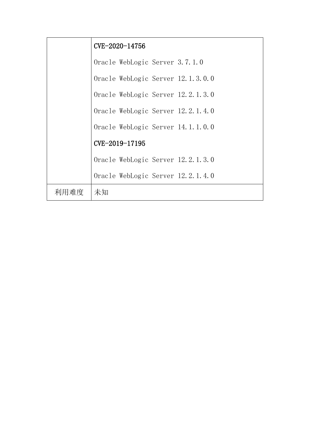|      | CVE-2020-14756                    |
|------|-----------------------------------|
|      | Oracle WebLogic Server 3.7.1.0    |
|      | Oracle WebLogic Server 12.1.3.0.0 |
|      | Oracle WebLogic Server 12.2.1.3.0 |
|      | Oracle WebLogic Server 12.2.1.4.0 |
|      | Oracle WebLogic Server 14.1.1.0.0 |
|      | CVE-2019-17195                    |
|      | Oracle WebLogic Server 12.2.1.3.0 |
|      | Oracle WebLogic Server 12.2.1.4.0 |
| 利用难度 | 未知                                |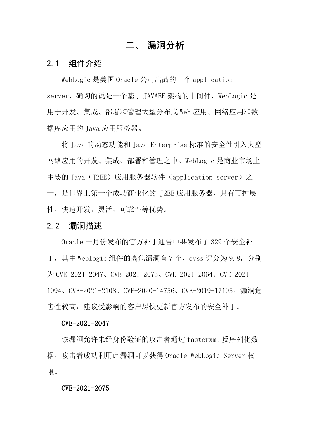## **二、 漏洞分析**

## <span id="page-4-0"></span>2.1 组件介绍

WebLogic 是美国 Oracle 公司出品的一个 application server, 确切的说是一个基于 JAVAEE 架构的中间件, WebLogic 是 用于开发、集成、部署和管理大型分布式 Web 应用、网络应用和数 据库应用的 Java 应用服务器。

将 Java 的动态功能和 Java Enterprise 标准的安全性引入大型 网络应用的开发、集成、部署和管理之中。WebLogic 是商业市场上 主要的 Java (J2EE) 应用服务器软件 (application server) 之 一,是世界上第一个成功商业化的 J2EE 应用服务器,具有可扩展 性,快速开发,灵活,可靠性等优势。

## 2.2 漏洞描述

Oracle 一月份发布的官方补丁通告中共发布了 329 个安全补 丁,其中 Weblogic 组件的高危漏洞有 7 个,cvss 评分为 9.8,分别 为 CVE-2021-2047、CVE-2021-2075、CVE-2021-2064、CVE-2021- 1994、CVE-2021-2108、CVE-2020-14756、CVE-2019-17195。漏洞危 害性较高,建议受影响的客户尽快更新官方发布的安全补丁。

## CVE-2021-2047

该漏洞允许未经身份验证的攻击者通过 fasterxml 反序列化数 据,攻击者成功利用此漏洞可以获得 Oracle WebLogic Server 权 限。

## CVE-2021-2075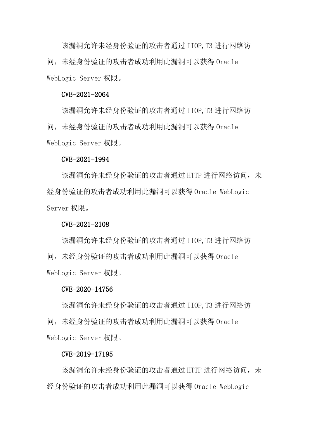该漏洞允许未经身份验证的攻击者通过 IIOP,T3 进行网络访 问,未经身份验证的攻击者成功利用此漏洞可以获得 Oracle WebLogic Server 权限。

#### CVE-2021-2064

该漏洞允许未经身份验证的攻击者通过 IIOP,T3 进行网络访 问,未经身份验证的攻击者成功利用此漏洞可以获得 Oracle WebLogic Server 权限。

#### CVE-2021-1994

该漏洞允许未经身份验证的攻击者通过 HTTP 进行网络访问, 未 经身份验证的攻击者成功利用此漏洞可以获得 Oracle WebLogic Server 权限。

#### CVE-2021-2108

该漏洞允许未经身份验证的攻击者通过 IIOP,T3 进行网络访 问,未经身份验证的攻击者成功利用此漏洞可以获得 Oracle WebLogic Server 权限。

#### CVE-2020-14756

该漏洞允许未经身份验证的攻击者通过 IIOP,T3 进行网络访 问,未经身份验证的攻击者成功利用此漏洞可以获得 Oracle WebLogic Server 权限。

#### CVE-2019-17195

该漏洞允许未经身份验证的攻击者通过 HTTP 进行网络访问, 未 经身份验证的攻击者成功利用此漏洞可以获得 Oracle WebLogic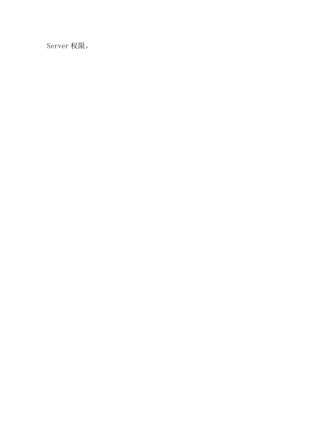Server 权限。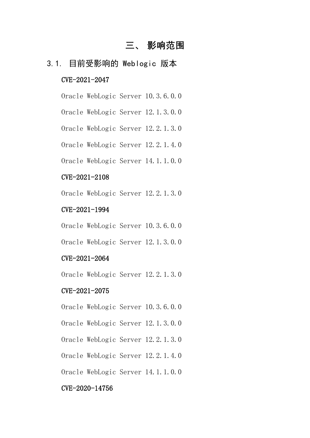## **三、 影响范围**

## <span id="page-7-0"></span>3.1. 目前受影响的 Weblogic 版本

## CVE-2021-2047

Oracle WebLogic Server 10.3.6.0.0

Oracle WebLogic Server 12.1.3.0.0

Oracle WebLogic Server 12.2.1.3.0

Oracle WebLogic Server 12.2.1.4.0

Oracle WebLogic Server 14.1.1.0.0

## CVE-2021-2108

Oracle WebLogic Server 12.2.1.3.0

## CVE-2021-1994

Oracle WebLogic Server 10.3.6.0.0

Oracle WebLogic Server 12.1.3.0.0

## CVE-2021-2064

Oracle WebLogic Server 12.2.1.3.0

## CVE-2021-2075

Oracle WebLogic Server 10.3.6.0.0

Oracle WebLogic Server 12.1.3.0.0

Oracle WebLogic Server 12.2.1.3.0

Oracle WebLogic Server 12.2.1.4.0

Oracle WebLogic Server 14.1.1.0.0

## CVE-2020-14756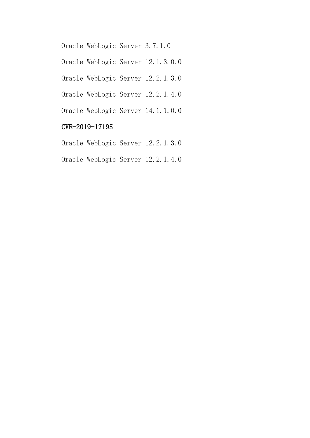Oracle WebLogic Server 3.7.1.0

Oracle WebLogic Server 12.1.3.0.0

Oracle WebLogic Server 12.2.1.3.0

Oracle WebLogic Server 12.2.1.4.0

Oracle WebLogic Server 14.1.1.0.0

## CVE-2019-17195

Oracle WebLogic Server 12.2.1.3.0

Oracle WebLogic Server 12.2.1.4.0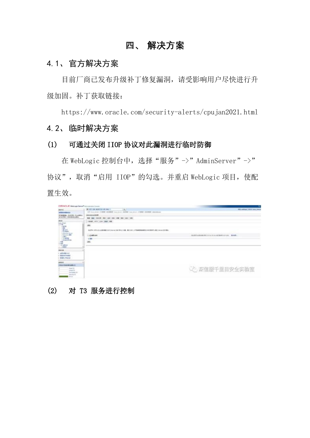## **四、 解决方案**

## <span id="page-9-0"></span>4.1、官方解决方案

目前厂商已发布升级补丁修复漏洞,请受影响用户尽快进行升 级加固。补丁获取链接:

https://www.oracle.com/security-alerts/cpujan2021.html 4.2、临时解决方案

## (1) 可通过关闭 IIOP 协议对此漏洞进行临时防御

在 WebLogic 控制台中, 选择"服务"->"AdminServer"->" 协议",取消"启用 IIOP"的勾选。并重启 WebLogic 项目, 使配 置生效。

| CHACLE Weblage beyon accommodations                                                                                         |                                                                                                                                                                                     | ۰                                           |
|-----------------------------------------------------------------------------------------------------------------------------|-------------------------------------------------------------------------------------------------------------------------------------------------------------------------------------|---------------------------------------------|
| <b>Rikind</b><br><b>NGRANGHAM</b><br>miarman, singles ticement<br>※1417年に、初期の新規にの構え、                                        | A 27 in each id in we 1<br>1967<br>07-Sex Jersey (1980) - 100-St 200-St 2000 - 100-St 200-St 2000 - 200-St 200-St 200-St<br>Advertising \$1.000<br>\$9.99.0000.00.00.00.00.00.00.00 | <b>SM. Addings   SSSI book Newsle</b>       |
| E.                                                                                                                          | -980 977 000 000 32<br>an.<br>RETH STUDERED ERROR SERVICE TRULIN, JO SP. LEWIS CONTRACTOR CONTROL MAN. ROAD.<br>11.03 AM 1004<br>$+38$<br>ain.                                      | <b>SUASSANADRA GULLEN ACRAR DE LA RADE.</b> |
| <b>MILLE</b><br>$-100$ (2.8 cm)<br>$-$ Eliminati<br>$-580$ - Pane<br>Academic<br><b>Thursdallabox</b><br><b>Harald Will</b> |                                                                                                                                                                                     | ○○ 深信服千里目安全实验室                              |
| Drug St.<br><b>Distinguish 20</b><br><b>Married ST</b><br>$-$ 0.01                                                          |                                                                                                                                                                                     |                                             |

## (2) 对 T3 服务进行控制